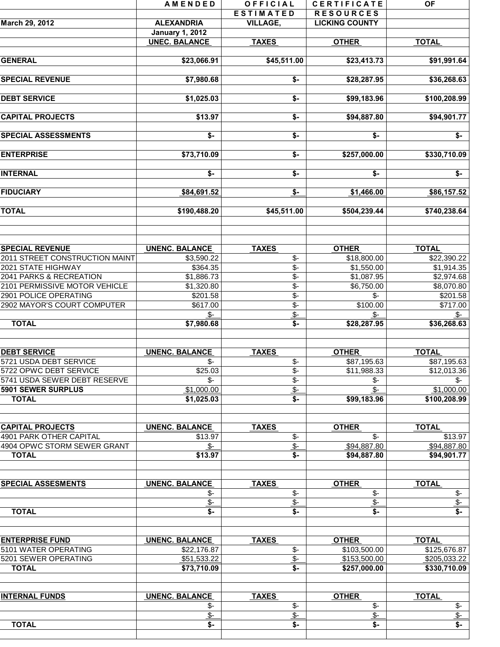|                                | AMENDED                 | OFFICIAL                          | <b>CERTIFICATE</b>      | <b>OF</b>                            |
|--------------------------------|-------------------------|-----------------------------------|-------------------------|--------------------------------------|
|                                |                         | <b>ESTIMATED</b>                  | <b>RESOURCES</b>        |                                      |
| March 29, 2012                 | <b>ALEXANDRIA</b>       | <b>VILLAGE,</b>                   | <b>LICKING COUNTY</b>   |                                      |
|                                | <b>January 1, 2012</b>  |                                   |                         |                                      |
|                                | <b>UNEC. BALANCE</b>    | <b>TAXES</b>                      | <b>OTHER</b>            | <b>TOTAL</b>                         |
|                                |                         |                                   |                         |                                      |
| <b>GENERAL</b>                 | \$23,066.91             | \$45,511.00                       | \$23,413.73             | \$91,991.64                          |
|                                |                         |                                   |                         |                                      |
| <b>SPECIAL REVENUE</b>         | \$7,980.68              | \$-                               | \$28,287.95             | \$36,268.63                          |
|                                |                         |                                   |                         |                                      |
|                                |                         |                                   |                         |                                      |
| <b>DEBT SERVICE</b>            | \$1,025.03              | \$-                               | \$99,183.96             | \$100,208.99                         |
|                                |                         |                                   |                         |                                      |
| <b>CAPITAL PROJECTS</b>        | \$13.97                 | \$-                               | \$94,887.80             | \$94,901.77                          |
|                                |                         |                                   |                         |                                      |
| <b>SPECIAL ASSESSMENTS</b>     | $\overline{\mathsf{S}}$ | $\overline{\mathsf{S}}$           | $\overline{\mathsf{S}}$ | $\overline{\$}$ -                    |
|                                |                         |                                   |                         |                                      |
| <b>ENTERPRISE</b>              | \$73,710.09             | \$-                               | \$257,000.00            | \$330,710.09                         |
|                                |                         |                                   |                         |                                      |
| <b>INTERNAL</b>                | \$-                     | \$-                               | \$-                     | \$-                                  |
|                                |                         |                                   |                         |                                      |
| <b>FIDUCIARY</b>               | \$84,691.52             | <u>\$-</u>                        | \$1,466.00              | \$86,157.52                          |
|                                |                         |                                   |                         |                                      |
| <b>TOTAL</b>                   | \$190,488.20            | \$45,511.00                       | \$504,239.44            | \$740,238.64                         |
|                                |                         |                                   |                         |                                      |
|                                |                         |                                   |                         |                                      |
|                                |                         |                                   |                         |                                      |
| <b>SPECIAL REVENUE</b>         | <b>UNENC. BALANCE</b>   | <b>TAXES</b>                      | <b>OTHER</b>            | <b>TOTAL</b>                         |
| 2011 STREET CONSTRUCTION MAINT | \$3,590.22              | $$-$                              | \$18,800.00             | \$22,390.22                          |
| 2021 STATE HIGHWAY             | \$364.35                | $\overline{\$}$                   | \$1,550.00              | \$1,914.35                           |
| 2041 PARKS & RECREATION        |                         |                                   |                         |                                      |
|                                | \$1,886.73              | $\overline{\$}$ -                 | \$1,087.95              | \$2,974.68                           |
| 2101 PERMISSIVE MOTOR VEHICLE  | \$1,320.80              | $\overline{\$}$                   | \$6,750.00              | \$8,070.80                           |
| 2901 POLICE OPERATING          | \$201.58                | $\overline{\mathcal{S}}$ -        | \$-                     | \$201.58                             |
| 2902 MAYOR'S COURT COMPUTER    | \$617.00                | $\overline{\$}$ -                 | \$100.00                | \$717.00                             |
|                                | \$-                     | $\overline{\$}$ -                 | $\frac{2}{3}$           | $\frac{2}{2}$                        |
| <b>TOTAL</b>                   | \$7,980.68              | $$-$                              | \$28,287.95             | \$36,268.63                          |
|                                |                         |                                   |                         |                                      |
|                                |                         |                                   |                         |                                      |
| <b>DEBT SERVICE</b>            | <b>UNENC. BALANCE</b>   | <b>TAXES</b>                      | <b>OTHER</b>            | <b>TOTAL</b>                         |
| 5721 USDA DEBT SERVICE         | \$-                     | $\overline{\$}$ -                 | \$87,195.63             | \$87,195.63                          |
| 5722 OPWC DEBT SERVICE         | \$25.03                 | $\overline{\$}$ -                 | \$11,988.33             | \$12,013.36                          |
| 5741 USDA SEWER DEBT RESERVE   | \$-                     | $\overline{\$}$ -                 | \$-                     | $\mathsf{S}$ -                       |
| 5901 SEWER SURPLUS             | \$1,000.00              | $\frac{1}{2}$                     | $$-$                    | \$1,000.00                           |
| <b>TOTAL</b>                   | \$1,025.03              | \$-                               | \$99,183.96             | \$100,208.99                         |
|                                |                         |                                   |                         |                                      |
|                                |                         |                                   |                         |                                      |
| <b>CAPITAL PROJECTS</b>        | <b>UNENC. BALANCE</b>   | <b>TAXES</b>                      | <b>OTHER</b>            | <b>TOTAL</b>                         |
| 4901 PARK OTHER CAPITAL        | \$13.97                 | $\mathcal{S}$ -                   | $$-$                    | \$13.97                              |
| 4904 OPWC STORM SEWER GRANT    |                         | $\overline{\$}$ -                 |                         | \$94,887.80                          |
|                                | \$-                     |                                   | \$94,887.80             |                                      |
| <b>TOTAL</b>                   | \$13.97                 | $\overline{\$}$                   | \$94,887.80             | \$94,901.77                          |
|                                |                         |                                   |                         |                                      |
|                                |                         |                                   |                         |                                      |
| <b>SPECIAL ASSESMENTS</b>      | <b>UNENC. BALANCE</b>   | <b>TAXES</b>                      | <b>OTHER</b>            | <b>TOTAL</b>                         |
|                                | \$-                     | $\frac{2}{3}$                     | $\mathcal{S}$ -         | \$-                                  |
|                                | $\frac{2}{2}$           | $\frac{\mathcal{L}}{\mathcal{L}}$ | $\frac{2}{2}$           | $\sqrt{2}$                           |
| <b>TOTAL</b>                   | \$-                     | \$-                               | \$-                     | $\overline{\mathsf{S}}$              |
|                                |                         |                                   |                         |                                      |
|                                |                         |                                   |                         |                                      |
| <b>ENTERPRISE FUND</b>         | <b>UNENC. BALANCE</b>   | <b>TAXES</b>                      | <b>OTHER</b>            | <b>TOTAL</b>                         |
| 5101 WATER OPERATING           | \$22,176.87             | $\mathcal{S}$ -                   | \$103,500.00            | \$125,676.87                         |
| 5201 SEWER OPERATING           | \$51,533.22             | $\sqrt[6]{\frac{2}{5}}$           | \$153,500.00            | \$205,033.22                         |
| <b>TOTAL</b>                   | \$73,710.09             | $s-$                              | \$257,000.00            | \$330,710.09                         |
|                                |                         |                                   |                         |                                      |
|                                |                         |                                   |                         |                                      |
| <b>INTERNAL FUNDS</b>          | <b>UNENC. BALANCE</b>   | <b>TAXES</b>                      | <b>OTHER</b>            | <b>TOTAL</b>                         |
|                                | \$-                     | $\frac{2}{3}$                     | $\mathcal{S}$ -         | \$-                                  |
|                                | $\frac{2}{2}$           |                                   | $\frac{2}{2}$           |                                      |
| <b>TOTAL</b>                   |                         | $\frac{1}{2}$                     |                         | $\sqrt[6]{\cdot}$<br>$\overline{\$}$ |
|                                | \$-                     | \$-                               | \$-                     |                                      |
|                                |                         |                                   |                         |                                      |